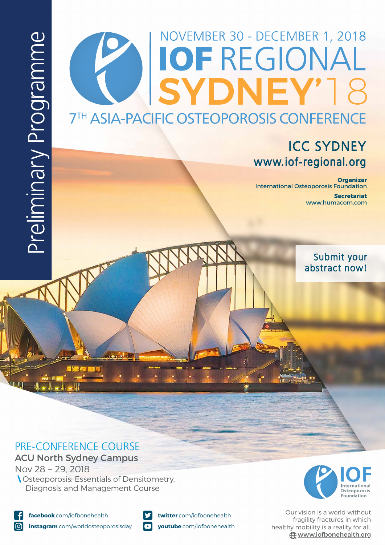### NOVEMBER 30 - DECEMBER 1, 2018 **IOF REGIONAL** SYDNEY'T 7TH ASIA-PACIFIC OSTEOPOROSIS CONFERENCE

#### ICC SYDNEY www.iof-regional.org

**Organizer** International Osteoporosis Foundation **Secretariat** www.humacom.com

> Submit your abstract now!

#### PRE-CONFERENCE COURSE ACU North Sydney Campus

Nov 28 − 29, 2018 \ Osteoporosis: Essentials of Densitometry, Diagnosis and Management Course



**facebook**.com/iofbonehealth **instagram**.com/worldosteoporosisday



**twitter**.com/iofbonehealth **youtube**.com/iofbonehealth International Osteoporosis **Foundation** 

Our vision is a world without fragility fractures in which healthy mobility is a reality for all. www.iofbonehealth.org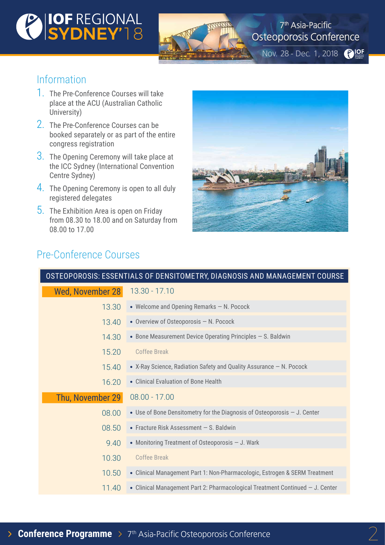# COIOF REGIONAL

7th Asia-Pacific Osteoporosis Conference

Nov. 28 - Dec. 1, 2018 **PIOF** 

#### Information

- 1. The Pre-Conference Courses will take place at the ACU (Australian Catholic University)
- 2. The Pre-Conference Courses can be booked separately or as part of the entire congress registration
- 3. The Opening Ceremony will take place at the ICC Sydney (International Convention Centre Sydney)
- 4. The Opening Ceremony is open to all duly registered delegates
- 5. The Exhibition Area is open on Friday from 08.30 to 18.00 and on Saturday from 08.00 to 17.00



#### Pre-Conference Courses

| $13.30 - 17.10$<br><b>Wed, November 28</b><br>• Welcome and Opening Remarks - N. Pocock<br>13.30 |
|--------------------------------------------------------------------------------------------------|
|                                                                                                  |
|                                                                                                  |
| 13.40<br>• Overview of Osteoporosis - N. Pocock                                                  |
| 14.30<br>• Bone Measurement Device Operating Principles $-$ S. Baldwin                           |
| <b>Coffee Break</b><br>15.20                                                                     |
| • X-Ray Science, Radiation Safety and Quality Assurance $-$ N. Pocock<br>15.40                   |
| • Clinical Evaluation of Bone Health<br>16.20                                                    |
| $08.00 - 17.00$<br>Thu, November 29                                                              |
| • Use of Bone Densitometry for the Diagnosis of Osteoporosis $-$ J. Center<br>08.00              |
| • Fracture Risk Assessment $-$ S. Baldwin<br>08.50                                               |
| 9.40<br>• Monitoring Treatment of Osteoporosis $-$ J. Wark                                       |
| <b>Coffee Break</b><br>10.30                                                                     |
| 10.50<br>• Clinical Management Part 1: Non-Pharmacologic, Estrogen & SERM Treatment              |
| • Clinical Management Part 2: Pharmacological Treatment Continued $-$ J. Center<br>11.40         |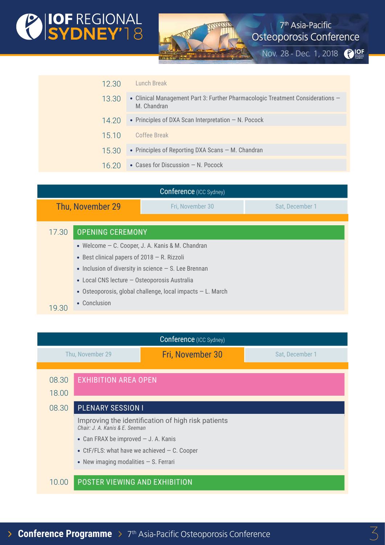# COIOF REGIONAL

7th Asia-Pacific Osteoporosis Conference

Nov. 28 - Dec. 1, 2018 **PIOF** 

| 12.30 | Lunch Break                                                                                   |
|-------|-----------------------------------------------------------------------------------------------|
| 13.30 | • Clinical Management Part 3: Further Pharmacologic Treatment Considerations -<br>M. Chandran |
| 14.20 | • Principles of DXA Scan Interpretation $-$ N. Pocock                                         |
| 15.10 | Coffee Break                                                                                  |
| 15.30 | • Principles of Reporting DXA Scans - M. Chandran                                             |
| 16.20 | • Cases for Discussion $- N$ . Pocock                                                         |
|       |                                                                                               |

| <b>Conference</b> (ICC Sydney) |                                                               |                  |                 |
|--------------------------------|---------------------------------------------------------------|------------------|-----------------|
| Thu, November 29               |                                                               | Fri, November 30 | Sat, December 1 |
|                                |                                                               |                  |                 |
| 17.30                          | <b>OPENING CEREMONY</b>                                       |                  |                 |
|                                | • Welcome - C. Cooper, J. A. Kanis & M. Chandran              |                  |                 |
|                                | • Best clinical papers of $2018 - R$ . Rizzoli                |                  |                 |
|                                | • Inclusion of diversity in science $-$ S. Lee Brennan        |                  |                 |
|                                | $\bullet$ Local CNS lecture $-$ Osteoporosis Australia        |                  |                 |
|                                | • Osteoporosis, global challenge, local impacts $- L$ . March |                  |                 |
| 19.30                          | • Conclusion                                                  |                  |                 |

| <b>Conference</b> (ICC Sydney) |                                                                                      |                  |                 |
|--------------------------------|--------------------------------------------------------------------------------------|------------------|-----------------|
| Thu, November 29               |                                                                                      | Fri, November 30 | Sat, December 1 |
|                                |                                                                                      |                  |                 |
| 08.30                          | <b>EXHIBITION AREA OPEN</b>                                                          |                  |                 |
| 18.00                          |                                                                                      |                  |                 |
| 08.30                          | <b>PLENARY SESSION I</b>                                                             |                  |                 |
|                                | Improving the identification of high risk patients<br>Chair: J. A. Kanis & E. Seeman |                  |                 |
|                                | • Can FRAX be improved $-$ J. A. Kanis                                               |                  |                 |
|                                | • CtF/FLS: what have we achieved $-$ C. Cooper                                       |                  |                 |
|                                | • New imaging modalities $-$ S. Ferrari                                              |                  |                 |
| 10.00                          | <b>POSTER VIEWING AND EXHIBITION</b>                                                 |                  |                 |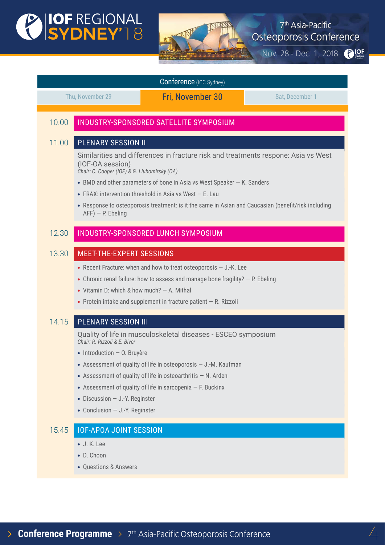## **POIOF REGIONAL**



7th Asia-Pacific Osteoporosis Conference

 $\sqrt{2}$ 

Nov. 28 - Dec. 1, 2018

|       | Thu, November 29                                                                                                                                                    | Fri, November 30                                                                                                                                                                                                                                                                                                                    |                 |
|-------|---------------------------------------------------------------------------------------------------------------------------------------------------------------------|-------------------------------------------------------------------------------------------------------------------------------------------------------------------------------------------------------------------------------------------------------------------------------------------------------------------------------------|-----------------|
|       |                                                                                                                                                                     |                                                                                                                                                                                                                                                                                                                                     | Sat, December 1 |
| 10.00 |                                                                                                                                                                     | INDUSTRY-SPONSORED SATELLITE SYMPOSIUM                                                                                                                                                                                                                                                                                              |                 |
| 11.00 | <b>PLENARY SESSION II</b><br>(IOF-OA session)<br>Chair: C. Cooper (IOF) & G. Liubomirsky (OA)<br>$AFF$ ) – P. Ebeling                                               | Similarities and differences in fracture risk and treatments respone: Asia vs West<br>• BMD and other parameters of bone in Asia vs West Speaker $-$ K. Sanders<br>• FRAX: intervention threshold in Asia vs West $-$ E. Lau<br>• Response to osteoporosis treatment: is it the same in Asian and Caucasian (benefit/risk including |                 |
| 12.30 |                                                                                                                                                                     | INDUSTRY-SPONSORED LUNCH SYMPOSIUM                                                                                                                                                                                                                                                                                                  |                 |
| 13.30 | <b>MEET-THE-EXPERT SESSIONS</b><br>• Vitamin D: which & how much? $-$ A. Mithal                                                                                     | • Recent Fracture: when and how to treat osteoporosis $-$ J.-K. Lee<br>• Chronic renal failure: how to assess and manage bone fragility? $-$ P. Ebeling<br>• Protein intake and supplement in fracture patient $-$ R. Rizzoli                                                                                                       |                 |
| 14.15 | <b>PLENARY SESSION III</b><br>Chair: R. Rizzoli & E. Biver<br>• Introduction $-$ 0. Bruyère<br>• Discussion $-$ J.-Y. Reginster<br>• Conclusion $-$ J.-Y. Reginster | Quality of life in musculoskeletal diseases - ESCEO symposium<br>• Assessment of quality of life in osteoporosis $-$ J.-M. Kaufman<br>• Assessment of quality of life in osteoarthritis $- N$ . Arden<br>• Assessment of quality of life in sarcopenia $-$ F. Buckinx                                                               |                 |
| 15.45 | <b>IOF-APOA JOINT SESSION</b><br>· J. K. Lee<br>• D. Choon<br>• Questions & Answers                                                                                 |                                                                                                                                                                                                                                                                                                                                     |                 |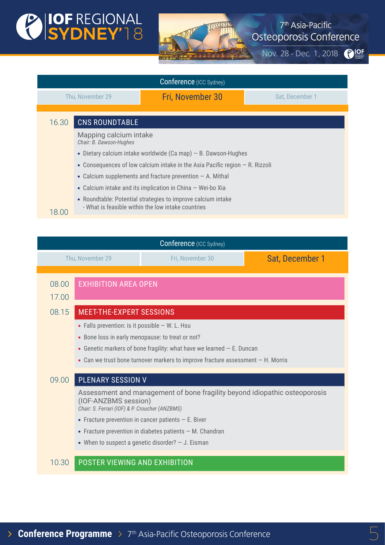## **POIOF REGIONAL**



7th Asia-Pacific Osteoporosis Conference

Nov. 28 - Dec. 1, 2018 **PIOF**